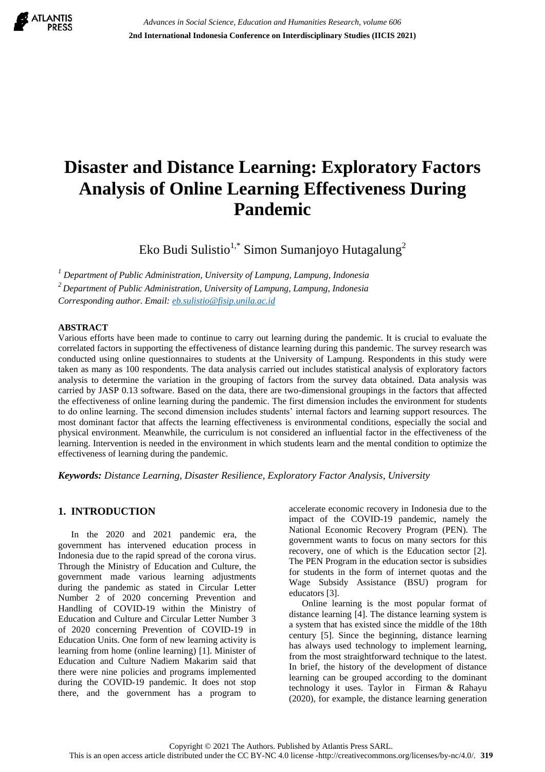

# **Disaster and Distance Learning: Exploratory Factors Analysis of Online Learning Effectiveness During Pandemic**

Eko Budi Sulistio<sup>1,\*</sup> Simon Sumanjoyo Hutagalung<sup>2</sup>

*1 Department of Public Administration, University of Lampung, Lampung, Indonesia* 

*<sup>2</sup>Department of Public Administration, University of Lampung, Lampung, Indonesia*

*Corresponding author. Email: [eb.sulistio@fisip.unila.ac.id](mailto:eb.sulistio@fisip.unila.ac.id)*

#### **ABSTRACT**

Various efforts have been made to continue to carry out learning during the pandemic. It is crucial to evaluate the correlated factors in supporting the effectiveness of distance learning during this pandemic. The survey research was conducted using online questionnaires to students at the University of Lampung. Respondents in this study were taken as many as 100 respondents. The data analysis carried out includes statistical analysis of exploratory factors analysis to determine the variation in the grouping of factors from the survey data obtained. Data analysis was carried by JASP 0.13 software. Based on the data, there are two-dimensional groupings in the factors that affected the effectiveness of online learning during the pandemic. The first dimension includes the environment for students to do online learning. The second dimension includes students' internal factors and learning support resources. The most dominant factor that affects the learning effectiveness is environmental conditions, especially the social and physical environment. Meanwhile, the curriculum is not considered an influential factor in the effectiveness of the learning. Intervention is needed in the environment in which students learn and the mental condition to optimize the effectiveness of learning during the pandemic.

*Keywords: Distance Learning, Disaster Resilience, Exploratory Factor Analysis, University* 

## **1. INTRODUCTION**

In the 2020 and 2021 pandemic era, the government has intervened education process in Indonesia due to the rapid spread of the corona virus. Through the Ministry of Education and Culture, the government made various learning adjustments during the pandemic as stated in Circular Letter Number 2 of 2020 concerning Prevention and Handling of COVID-19 within the Ministry of Education and Culture and Circular Letter Number 3 of 2020 concerning Prevention of COVID-19 in Education Units. One form of new learning activity is learning from home (online learning) [1]. Minister of Education and Culture Nadiem Makarim said that there were nine policies and programs implemented during the COVID-19 pandemic. It does not stop there, and the government has a program to accelerate economic recovery in Indonesia due to the impact of the COVID-19 pandemic, namely the National Economic Recovery Program (PEN). The government wants to focus on many sectors for this recovery, one of which is the Education sector [2]. The PEN Program in the education sector is subsidies for students in the form of internet quotas and the Wage Subsidy Assistance (BSU) program for educators [3].

Online learning is the most popular format of distance learning [4]. The distance learning system is a system that has existed since the middle of the 18th century [5]. Since the beginning, distance learning has always used technology to implement learning, from the most straightforward technique to the latest. In brief, the history of the development of distance learning can be grouped according to the dominant technology it uses. Taylor in Firman & Rahayu (2020), for example, the distance learning generation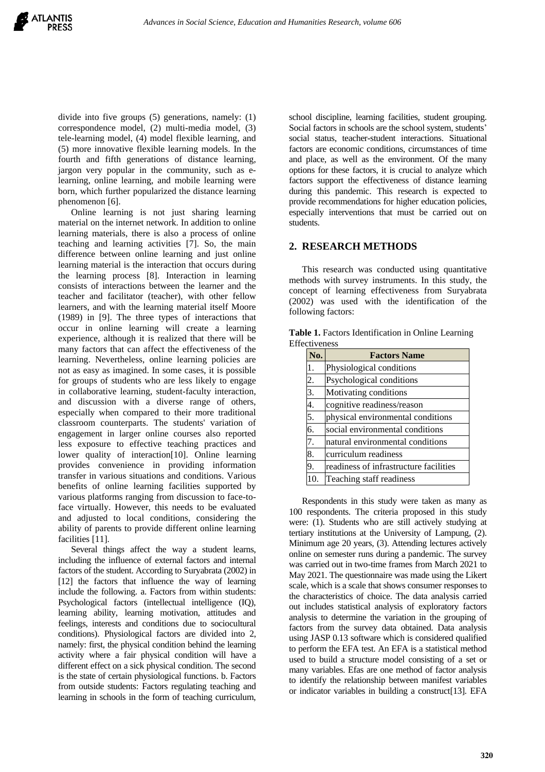divide into five groups (5) generations, namely: (1) correspondence model, (2) multi-media model, (3) tele-learning model, (4) model flexible learning, and (5) more innovative flexible learning models. In the fourth and fifth generations of distance learning, jargon very popular in the community, such as elearning, online learning, and mobile learning were born, which further popularized the distance learning phenomenon [6].

Online learning is not just sharing learning material on the internet network. In addition to online learning materials, there is also a process of online teaching and learning activities [7]. So, the main difference between online learning and just online learning material is the interaction that occurs during the learning process [8]. Interaction in learning consists of interactions between the learner and the teacher and facilitator (teacher), with other fellow learners, and with the learning material itself Moore (1989) in [9]. The three types of interactions that occur in online learning will create a learning experience, although it is realized that there will be many factors that can affect the effectiveness of the learning. Nevertheless, online learning policies are not as easy as imagined. In some cases, it is possible for groups of students who are less likely to engage in collaborative learning, student-faculty interaction, and discussion with a diverse range of others, especially when compared to their more traditional classroom counterparts. The students' variation of engagement in larger online courses also reported less exposure to effective teaching practices and lower quality of interaction[10]. Online learning provides convenience in providing information transfer in various situations and conditions. Various benefits of online learning facilities supported by various platforms ranging from discussion to face-toface virtually. However, this needs to be evaluated and adjusted to local conditions, considering the ability of parents to provide different online learning facilities [11].

Several things affect the way a student learns, including the influence of external factors and internal factors of the student. According to Suryabrata (2002) in [12] the factors that influence the way of learning include the following. a. Factors from within students: Psychological factors (intellectual intelligence (IQ), learning ability, learning motivation, attitudes and feelings, interests and conditions due to sociocultural conditions). Physiological factors are divided into 2, namely: first, the physical condition behind the learning activity where a fair physical condition will have a different effect on a sick physical condition. The second is the state of certain physiological functions. b. Factors from outside students: Factors regulating teaching and learning in schools in the form of teaching curriculum,

school discipline, learning facilities, student grouping. Social factors in schools are the school system, students' social status, teacher-student interactions. Situational factors are economic conditions, circumstances of time and place, as well as the environment. Of the many options for these factors, it is crucial to analyze which factors support the effectiveness of distance learning during this pandemic. This research is expected to provide recommendations for higher education policies, especially interventions that must be carried out on students.

#### **2. RESEARCH METHODS**

This research was conducted using quantitative methods with survey instruments. In this study, the concept of learning effectiveness from Suryabrata (2002) was used with the identification of the following factors:

| No.            | <b>Factors Name</b>                    |
|----------------|----------------------------------------|
| $\mathbf{1}$ . | Physiological conditions               |
| 2.             | Psychological conditions               |
| 3.             | Motivating conditions                  |
| 4.             | cognitive readiness/reason             |
| 5.             | physical environmental conditions      |
| 6.             | social environmental conditions        |
| 7.             | natural environmental conditions       |
| 8.             | curriculum readiness                   |
| 9.             | readiness of infrastructure facilities |
| 10.            | Teaching staff readiness               |

**Table 1.** Factors Identification in Online Learning **Effectiveness** 

Respondents in this study were taken as many as 100 respondents. The criteria proposed in this study were: (1). Students who are still actively studying at tertiary institutions at the University of Lampung, (2). Minimum age 20 years, (3). Attending lectures actively online on semester runs during a pandemic. The survey was carried out in two-time frames from March 2021 to May 2021. The questionnaire was made using the Likert scale, which is a scale that shows consumer responses to the characteristics of choice. The data analysis carried out includes statistical analysis of exploratory factors analysis to determine the variation in the grouping of factors from the survey data obtained. Data analysis using JASP 0.13 software which is considered qualified to perform the EFA test. An EFA is a statistical method used to build a structure model consisting of a set or many variables. Efas are one method of factor analysis to identify the relationship between manifest variables or indicator variables in building a construct[13]. EFA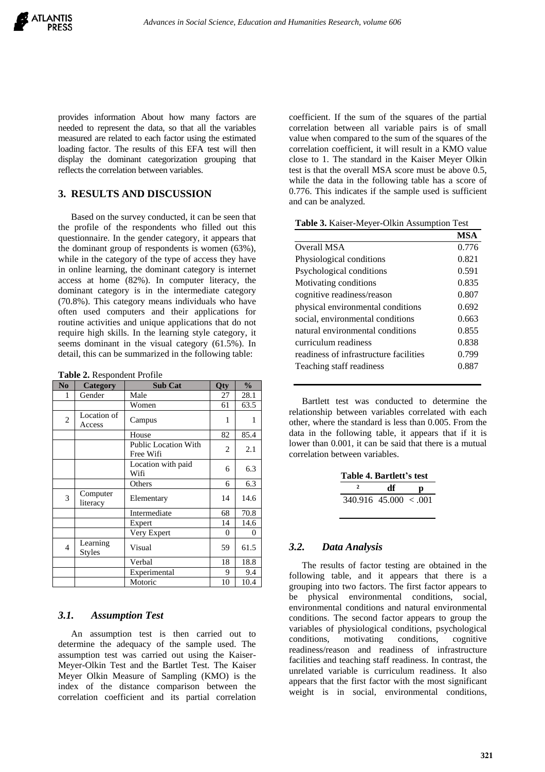provides information About how many factors are needed to represent the data, so that all the variables measured are related to each factor using the estimated loading factor. The results of this EFA test will then display the dominant categorization grouping that reflects the correlation between variables.

# **3. RESULTS AND DISCUSSION**

Based on the survey conducted, it can be seen that the profile of the respondents who filled out this questionnaire. In the gender category, it appears that the dominant group of respondents is women (63%), while in the category of the type of access they have in online learning, the dominant category is internet access at home (82%). In computer literacy, the dominant category is in the intermediate category (70.8%). This category means individuals who have often used computers and their applications for routine activities and unique applications that do not require high skills. In the learning style category, it seems dominant in the visual category (61.5%). In detail, this can be summarized in the following table:

**Table 2.** Respondent Profile

| N <sub>0</sub> | Category                  | <b>Sub Cat</b>                           | <b>Oty</b> | $\frac{0}{0}$  |
|----------------|---------------------------|------------------------------------------|------------|----------------|
| 1              | Gender                    | Male                                     | 27         | 28.1           |
|                |                           | Women                                    | 61         | 63.5           |
| $\overline{2}$ | Location of<br>Access     | Campus                                   | 1          | 1              |
|                |                           | House                                    | 82         | 85.4           |
|                |                           | <b>Public Location With</b><br>Free Wifi | 2          | 2.1            |
|                |                           | Location with paid<br>Wifi               | 6          | 6.3            |
|                |                           | Others                                   | 6          | 6.3            |
| 3              | Computer<br>literacy      | Elementary                               | 14         | 14.6           |
|                |                           | Intermediate                             | 68         | 70.8           |
|                |                           | Expert                                   | 14         | 14.6           |
|                |                           | Very Expert                              | 0          | $\overline{0}$ |
| $\overline{4}$ | Learning<br><b>Styles</b> | Visual                                   | 59         | 61.5           |
|                |                           | Verbal                                   | 18         | 18.8           |
|                |                           | Experimental                             | 9          | 9.4            |
|                |                           | Motoric                                  | 10         | 10.4           |

#### *3.1. Assumption Test*

An assumption test is then carried out to determine the adequacy of the sample used. The assumption test was carried out using the Kaiser-Meyer-Olkin Test and the Bartlet Test. The Kaiser Meyer Olkin Measure of Sampling (KMO) is the index of the distance comparison between the correlation coefficient and its partial correlation

coefficient. If the sum of the squares of the partial correlation between all variable pairs is of small value when compared to the sum of the squares of the correlation coefficient, it will result in a KMO value close to 1. The standard in the Kaiser Meyer Olkin test is that the overall MSA score must be above 0.5, while the data in the following table has a score of 0.776. This indicates if the sample used is sufficient and can be analyzed.

| Table 3. Kaiser-Meyer-Olkin Assumption Test |  |  |
|---------------------------------------------|--|--|
|                                             |  |  |

|                                        | <b>MSA</b> |
|----------------------------------------|------------|
| Overall MSA                            | 0.776      |
| Physiological conditions               | 0.821      |
| Psychological conditions               | 0.591      |
| Motivating conditions                  | 0.835      |
| cognitive readiness/reason             | 0.807      |
| physical environmental conditions      | 0.692      |
| social, environmental conditions       | 0.663      |
| natural environmental conditions       | 0.855      |
| curriculum readiness                   | 0.838      |
| readiness of infrastructure facilities | 0.799      |
| Teaching staff readiness               | 0.887      |

Bartlett test was conducted to determine the relationship between variables correlated with each other, where the standard is less than 0.005. From the data in the following table, it appears that if it is lower than 0.001, it can be said that there is a mutual correlation between variables.

| Table 4. Bartlett's test |    |  |  |
|--------------------------|----|--|--|
|                          | df |  |  |
| $340.916$ 45.000 < 001   |    |  |  |

# *3.2. Data Analysis*

The results of factor testing are obtained in the following table, and it appears that there is a grouping into two factors. The first factor appears to be physical environmental conditions, social, environmental conditions and natural environmental conditions. The second factor appears to group the variables of physiological conditions, psychological<br>conditions, motivating conditions, cognitive motivating conditions, cognitive readiness/reason and readiness of infrastructure facilities and teaching staff readiness. In contrast, the unrelated variable is curriculum readiness. It also appears that the first factor with the most significant weight is in social, environmental conditions,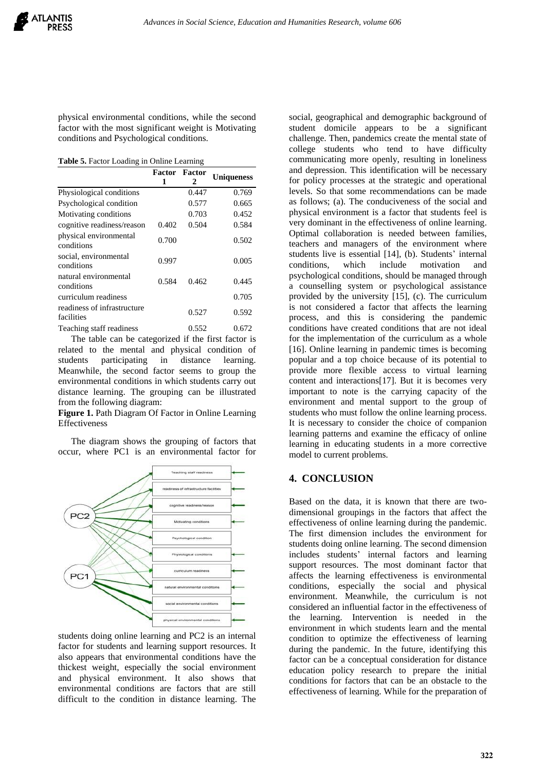physical environmental conditions, while the second factor with the most significant weight is Motivating conditions and Psychological conditions.

**Table 5.** Factor Loading in Online Learning

|                                           |       | <b>Factor</b> Factor |                   |  |
|-------------------------------------------|-------|----------------------|-------------------|--|
|                                           | 1     | 2                    | <b>Uniqueness</b> |  |
| Physiological conditions                  |       | 0.447                | 0.769             |  |
| Psychological condition                   |       | 0.577                | 0.665             |  |
| Motivating conditions                     |       | 0.703                | 0.452             |  |
| cognitive readiness/reason                | 0.402 | 0.504                | 0.584             |  |
| physical environmental<br>conditions      | 0.700 |                      | 0.502             |  |
| social, environmental<br>conditions       | 0.997 |                      | 0.005             |  |
| natural environmental<br>conditions       | 0.584 | 0.462                | 0.445             |  |
| curriculum readiness                      |       |                      | 0.705             |  |
| readiness of infrastructure<br>facilities |       | 0.527                | 0.592             |  |
| Teaching staff readiness                  |       | 0.552                | 0.672             |  |

The table can be categorized if the first factor is related to the mental and physical condition of students participating in distance learning. Meanwhile, the second factor seems to group the environmental conditions in which students carry out distance learning. The grouping can be illustrated from the following diagram:

**Figure 1.** Path Diagram Of Factor in Online Learning Effectiveness

The diagram shows the grouping of factors that occur, where PC1 is an environmental factor for



students doing online learning and PC2 is an internal factor for students and learning support resources. It also appears that environmental conditions have the thickest weight, especially the social environment and physical environment. It also shows that environmental conditions are factors that are still difficult to the condition in distance learning. The

social, geographical and demographic background of student domicile appears to be a significant challenge. Then, pandemics create the mental state of college students who tend to have difficulty communicating more openly, resulting in loneliness and depression. This identification will be necessary for policy processes at the strategic and operational levels. So that some recommendations can be made as follows; (a). The conduciveness of the social and physical environment is a factor that students feel is very dominant in the effectiveness of online learning. Optimal collaboration is needed between families, teachers and managers of the environment where students live is essential [14], (b). Students' internal conditions, which include motivation and psychological conditions, should be managed through a counselling system or psychological assistance provided by the university [15], (c). The curriculum is not considered a factor that affects the learning process, and this is considering the pandemic conditions have created conditions that are not ideal for the implementation of the curriculum as a whole [16]. Online learning in pandemic times is becoming popular and a top choice because of its potential to provide more flexible access to virtual learning content and interactions[17]. But it is becomes very important to note is the carrying capacity of the environment and mental support to the group of students who must follow the online learning process. It is necessary to consider the choice of companion learning patterns and examine the efficacy of online learning in educating students in a more corrective model to current problems.

# **4. CONCLUSION**

Based on the data, it is known that there are twodimensional groupings in the factors that affect the effectiveness of online learning during the pandemic. The first dimension includes the environment for students doing online learning. The second dimension includes students' internal factors and learning support resources. The most dominant factor that affects the learning effectiveness is environmental conditions, especially the social and physical environment. Meanwhile, the curriculum is not considered an influential factor in the effectiveness of the learning. Intervention is needed in the environment in which students learn and the mental condition to optimize the effectiveness of learning during the pandemic. In the future, identifying this factor can be a conceptual consideration for distance education policy research to prepare the initial conditions for factors that can be an obstacle to the effectiveness of learning. While for the preparation of